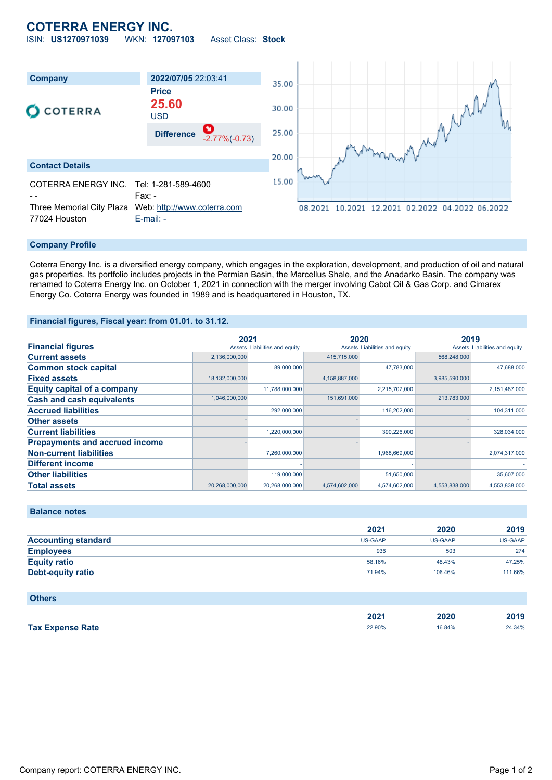# **COTERRA ENERGY INC.**

ISIN: **US1270971039** WKN: **127097103** Asset Class: **Stock**



### **Company Profile**

Coterra Energy Inc. is a diversified energy company, which engages in the exploration, development, and production of oil and natural gas properties. Its portfolio includes projects in the Permian Basin, the Marcellus Shale, and the Anadarko Basin. The company was renamed to Coterra Energy Inc. on October 1, 2021 in connection with the merger involving Cabot Oil & Gas Corp. and Cimarex Energy Co. Coterra Energy was founded in 1989 and is headquartered in Houston, TX.

#### **Financial figures, Fiscal year: from 01.01. to 31.12.**

|                                       | 2021           |                               | 2020          |                               | 2019          |                               |
|---------------------------------------|----------------|-------------------------------|---------------|-------------------------------|---------------|-------------------------------|
| <b>Financial figures</b>              |                | Assets Liabilities and equity |               | Assets Liabilities and equity |               | Assets Liabilities and equity |
| <b>Current assets</b>                 | 2,136,000,000  |                               | 415,715,000   |                               | 568,248,000   |                               |
| <b>Common stock capital</b>           |                | 89,000,000                    |               | 47.783.000                    |               | 47.688.000                    |
| <b>Fixed assets</b>                   | 18,132,000,000 |                               | 4,158,887,000 |                               | 3,985,590,000 |                               |
| <b>Equity capital of a company</b>    |                | 11,788,000,000                |               | 2,215,707,000                 |               | 2,151,487,000                 |
| <b>Cash and cash equivalents</b>      | 1,046,000,000  |                               | 151,691,000   |                               | 213,783,000   |                               |
| <b>Accrued liabilities</b>            |                | 292,000,000                   |               | 116,202,000                   |               | 104,311,000                   |
| <b>Other assets</b>                   |                |                               |               |                               |               |                               |
| <b>Current liabilities</b>            |                | 1,220,000,000                 |               | 390,226,000                   |               | 328,034,000                   |
| <b>Prepayments and accrued income</b> |                |                               |               |                               |               |                               |
| <b>Non-current liabilities</b>        |                | 7,260,000,000                 |               | 1,968,669,000                 |               | 2,074,317,000                 |
| <b>Different income</b>               |                |                               |               |                               |               |                               |
| <b>Other liabilities</b>              |                | 119,000,000                   |               | 51,650,000                    |               | 35,607,000                    |
| <b>Total assets</b>                   | 20,268,000,000 | 20.268.000.000                | 4.574.602.000 | 4.574.602.000                 | 4.553.838.000 | 4,553,838,000                 |

**Balance notes**

|                            | 2021           | 2020           | 2019    |
|----------------------------|----------------|----------------|---------|
| <b>Accounting standard</b> | <b>US-GAAP</b> | <b>US-GAAP</b> | US-GAAP |
| <b>Employees</b>           | 936            | 503            | 274     |
| <b>Equity ratio</b>        | 58.16%         | 48.43%         | 47.25%  |
| <b>Debt-equity ratio</b>   | 71.94%         | 106.46%        | 111.66% |

| <b>Others</b>           |        |        |        |
|-------------------------|--------|--------|--------|
|                         | 2021   | 2020   | 2019   |
| <b>Tax Expense Rate</b> | 22.90% | 16.84% | 24.34% |